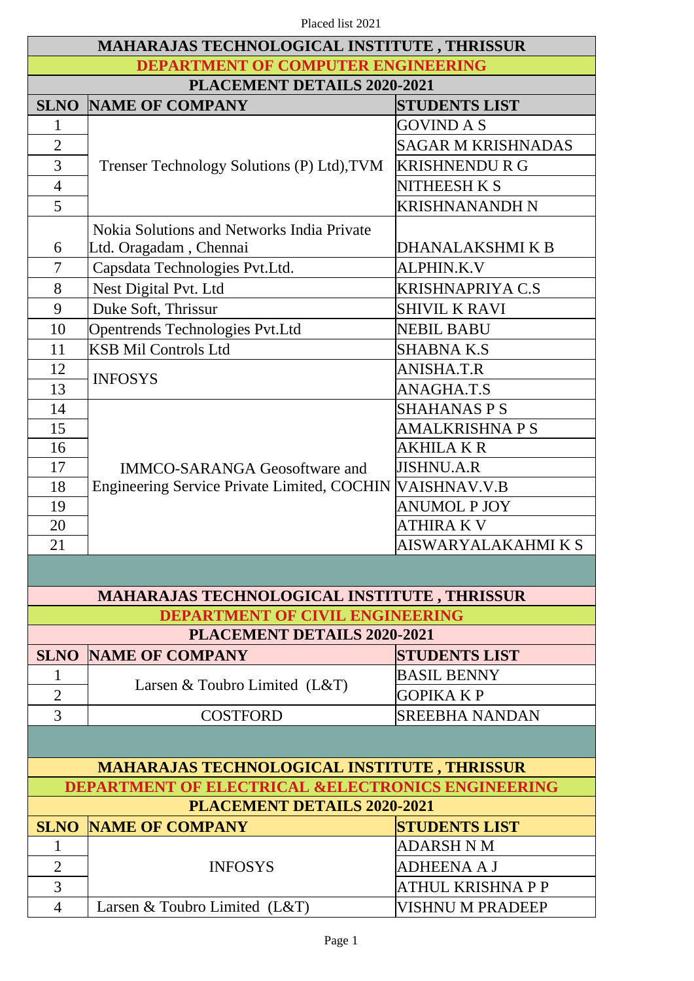| <b>MAHARAJAS TECHNOLOGICAL INSTITUTE, THRISSUR</b>           |                                                    |                           |  |  |  |
|--------------------------------------------------------------|----------------------------------------------------|---------------------------|--|--|--|
| DEPARTMENT OF COMPUTER ENGINEERING                           |                                                    |                           |  |  |  |
| PLACEMENT DETAILS 2020-2021                                  |                                                    |                           |  |  |  |
|                                                              | <b>SLNO NAME OF COMPANY</b>                        | <b>STUDENTS LIST</b>      |  |  |  |
| $\mathbf{1}$                                                 |                                                    | GOVIND A S                |  |  |  |
| $\overline{2}$                                               |                                                    | <b>SAGAR M KRISHNADAS</b> |  |  |  |
| 3                                                            | Trenser Technology Solutions (P) Ltd), TVM         | <b>KRISHNENDU R G</b>     |  |  |  |
| $\overline{4}$                                               |                                                    | <b>NITHEESH K S</b>       |  |  |  |
| 5                                                            |                                                    | <b>KRISHNANANDH N</b>     |  |  |  |
|                                                              | Nokia Solutions and Networks India Private         |                           |  |  |  |
| 6                                                            | Ltd. Oragadam, Chennai                             | DHANALAKSHMI K B          |  |  |  |
| 7                                                            | Capsdata Technologies Pvt.Ltd.                     | <b>ALPHIN.K.V</b>         |  |  |  |
| 8                                                            | Nest Digital Pvt. Ltd                              | <b>KRISHNAPRIYA C.S</b>   |  |  |  |
| 9                                                            | Duke Soft, Thrissur                                | <b>SHIVIL K RAVI</b>      |  |  |  |
| 10                                                           | Opentrends Technologies Pvt.Ltd                    | <b>NEBIL BABU</b>         |  |  |  |
| 11                                                           | <b>KSB Mil Controls Ltd</b>                        | <b>SHABNA K.S</b>         |  |  |  |
| 12                                                           |                                                    | ANISHA.T.R                |  |  |  |
| 13                                                           | <b>INFOSYS</b>                                     | ANAGHA.T.S                |  |  |  |
| 14                                                           |                                                    | <b>SHAHANAS P S</b>       |  |  |  |
| 15                                                           |                                                    | <b>AMALKRISHNA P S</b>    |  |  |  |
| 16                                                           |                                                    | AKHILA K R                |  |  |  |
| 17                                                           | <b>IMMCO-SARANGA Geosoftware and</b>               | <b>JISHNU.A.R</b>         |  |  |  |
| 18                                                           | <b>Engineering Service Private Limited, COCHIN</b> | <b>VAISHNAV.V.B</b>       |  |  |  |
| 19                                                           |                                                    | <b>ANUMOL P JOY</b>       |  |  |  |
| 20                                                           |                                                    | ATHIRA K V                |  |  |  |
| 21                                                           |                                                    | AISWARYALAKAHMI K S       |  |  |  |
|                                                              |                                                    |                           |  |  |  |
|                                                              | MAHARAJAS TECHNOLOGICAL INSTITUTE, THRISSUR        |                           |  |  |  |
|                                                              | <b>DEPARTMENT OF CIVIL ENGINEERING</b>             |                           |  |  |  |
|                                                              | <b>PLACEMENT DETAILS 2020-2021</b>                 |                           |  |  |  |
|                                                              | <b>SLNO NAME OF COMPANY</b>                        | <b>STUDENTS LIST</b>      |  |  |  |
| $\mathbf{1}$                                                 |                                                    | <b>BASIL BENNY</b>        |  |  |  |
| $\overline{2}$                                               | Larsen & Toubro Limited (L&T)                      | <b>GOPIKA K P</b>         |  |  |  |
| 3                                                            | <b>COSTFORD</b>                                    | <b>SREEBHA NANDAN</b>     |  |  |  |
|                                                              |                                                    |                           |  |  |  |
| <b>MAHARAJAS TECHNOLOGICAL INSTITUTE, THRISSUR</b>           |                                                    |                           |  |  |  |
| <b>DEPARTMENT OF ELECTRICAL &amp;ELECTRONICS ENGINEERING</b> |                                                    |                           |  |  |  |
| PLACEMENT DETAILS 2020-2021                                  |                                                    |                           |  |  |  |
|                                                              | <b>SLNO NAME OF COMPANY</b>                        | <b>STUDENTS LIST</b>      |  |  |  |
| $\mathbf{1}$                                                 |                                                    | ADARSH N M                |  |  |  |
| $\overline{2}$                                               | <b>INFOSYS</b>                                     | ADHEENA A J               |  |  |  |
| 3                                                            |                                                    | ATHUL KRISHNA P P         |  |  |  |
| $\overline{4}$                                               | Larsen & Toubro Limited (L&T)                      | <b>VISHNU M PRADEEP</b>   |  |  |  |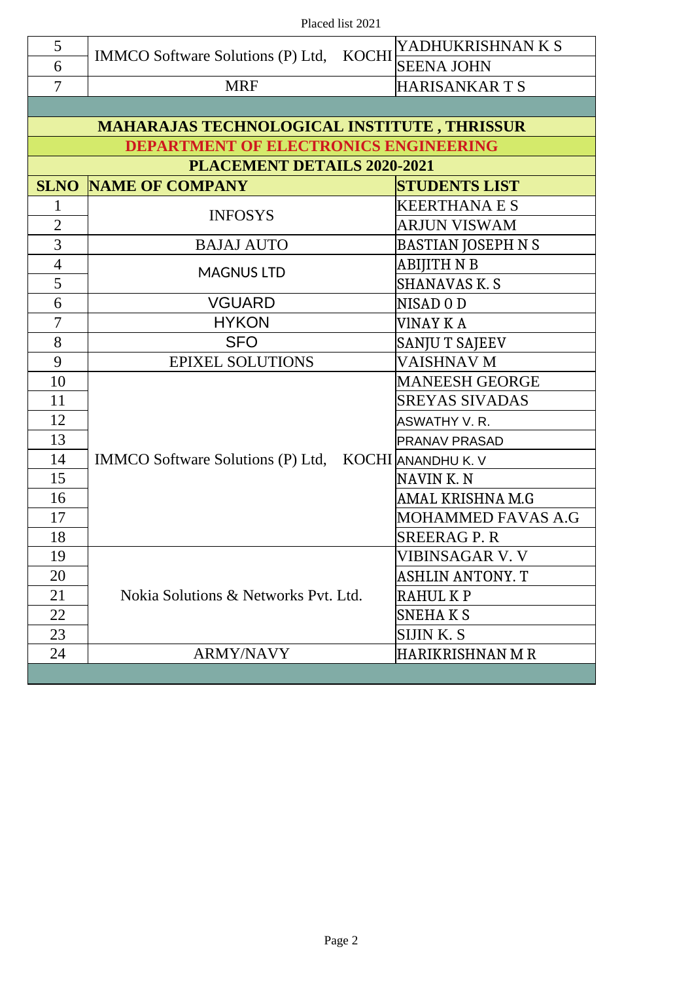| 5                                                  |                                                      |  | YADHUKRISHNAN K S                  |  |  |
|----------------------------------------------------|------------------------------------------------------|--|------------------------------------|--|--|
| 6                                                  | IMMCO Software Solutions (P) Ltd, KOCHI              |  | <b>SEENA JOHN</b>                  |  |  |
| 7                                                  | <b>MRF</b>                                           |  | <b>HARISANKARTS</b>                |  |  |
|                                                    |                                                      |  |                                    |  |  |
| <b>MAHARAJAS TECHNOLOGICAL INSTITUTE, THRISSUR</b> |                                                      |  |                                    |  |  |
| <b>DEPARTMENT OF ELECTRONICS ENGINEERING</b>       |                                                      |  |                                    |  |  |
| PLACEMENT DETAILS 2020-2021                        |                                                      |  |                                    |  |  |
| <b>SLNO</b>                                        | <b>NAME OF COMPANY</b>                               |  | <b>STUDENTS LIST</b>               |  |  |
| $\mathbf{1}$                                       |                                                      |  | <b>KEERTHANA E S</b>               |  |  |
| $\overline{2}$                                     | <b>INFOSYS</b>                                       |  | ARJUN VISWAM                       |  |  |
| 3                                                  | <b>BAJAJ AUTO</b>                                    |  | BASTIAN JOSEPH N S                 |  |  |
| $\overline{4}$                                     | <b>MAGNUS LTD</b>                                    |  | ABIJITH N B                        |  |  |
| 5                                                  |                                                      |  | <b>SHANAVAS K. S</b>               |  |  |
| 6                                                  | <b>VGUARD</b>                                        |  | NISAD <sub>0</sub> D               |  |  |
| $\overline{7}$                                     | <b>HYKON</b>                                         |  | VINAY K A                          |  |  |
| 8                                                  | <b>SFO</b>                                           |  | <b>SANJU T SAJEEV</b>              |  |  |
| 9                                                  | <b>EPIXEL SOLUTIONS</b>                              |  | <b>VAISHNAV M</b>                  |  |  |
| 10                                                 |                                                      |  | <b>MANEESH GEORGE</b>              |  |  |
| 11                                                 |                                                      |  | <b>SREYAS SIVADAS</b>              |  |  |
| 12                                                 |                                                      |  | <b>ASWATHY V.R.</b>                |  |  |
| 13                                                 |                                                      |  | <b>PRANAV PRASAD</b>               |  |  |
| 14                                                 | IMMCO Software Solutions (P) Ltd, KOCHI ANANDHU K. V |  |                                    |  |  |
| 15                                                 |                                                      |  | NAVINK.N                           |  |  |
| 16                                                 |                                                      |  | AMAL KRISHNA M.G                   |  |  |
| 17                                                 |                                                      |  | MOHAMMED FAVAS A.G                 |  |  |
| 18                                                 |                                                      |  | <b>SREERAG P.R</b>                 |  |  |
| 19                                                 |                                                      |  | VIBINSAGAR V.V<br>ASHLIN ANTONY. T |  |  |
| 20                                                 |                                                      |  |                                    |  |  |
| 21                                                 | Nokia Solutions & Networks Pyt. Ltd.                 |  | RAHUL K P                          |  |  |
| 22                                                 |                                                      |  | <b>SNEHAKS</b>                     |  |  |
| 23                                                 |                                                      |  | SIJIN K.S                          |  |  |
| 24                                                 | <b>ARMY/NAVY</b>                                     |  | <b>HARIKRISHNAN M R</b>            |  |  |
|                                                    |                                                      |  |                                    |  |  |